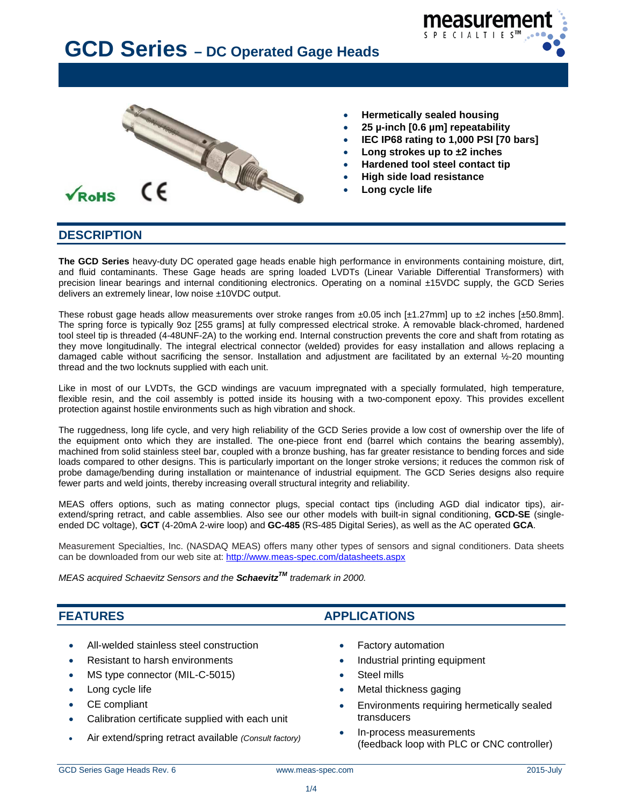



- **Hermetically sealed housing**
- **25 µ-inch [0.6 µm] repeatability**
- **IEC IP68 rating to 1,000 PSI [70 bars]**
- **Long strokes up to ±2 inches**
- **Hardened tool steel contact tip**
- **High side load resistance**
- **Long cycle life**

#### **DESCRIPTION**

**The GCD Series** heavy-duty DC operated gage heads enable high performance in environments containing moisture, dirt, and fluid contaminants. These Gage heads are spring loaded LVDTs (Linear Variable Differential Transformers) with precision linear bearings and internal conditioning electronics. Operating on a nominal ±15VDC supply, the GCD Series delivers an extremely linear, low noise ±10VDC output.

These robust gage heads allow measurements over stroke ranges from  $\pm 0.05$  inch [ $\pm 1.27$ mm] up to  $\pm 2$  inches [ $\pm 50.8$ mm]. The spring force is typically 9oz [255 grams] at fully compressed electrical stroke. A removable black-chromed, hardened tool steel tip is threaded (4-48UNF-2A) to the working end. Internal construction prevents the core and shaft from rotating as they move longitudinally. The integral electrical connector (welded) provides for easy installation and allows replacing a damaged cable without sacrificing the sensor. Installation and adjustment are facilitated by an external ½-20 mounting thread and the two locknuts supplied with each unit.

Like in most of our LVDTs, the GCD windings are vacuum impregnated with a specially formulated, high temperature, flexible resin, and the coil assembly is potted inside its housing with a two-component epoxy. This provides excellent protection against hostile environments such as high vibration and shock.

The ruggedness, long life cycle, and very high reliability of the GCD Series provide a low cost of ownership over the life of the equipment onto which they are installed. The one-piece front end (barrel which contains the bearing assembly), machined from solid stainless steel bar, coupled with a bronze bushing, has far greater resistance to bending forces and side loads compared to other designs. This is particularly important on the longer stroke versions; it reduces the common risk of probe damage/bending during installation or maintenance of industrial equipment. The GCD Series designs also require fewer parts and weld joints, thereby increasing overall structural integrity and reliability.

MEAS offers options, such as mating connector plugs, special contact tips (including AGD dial indicator tips), airextend/spring retract, and cable assemblies. Also see our other models with built-in signal conditioning, **GCD-SE** (singleended DC voltage), **GCT** (4-20mA 2-wire loop) and **GC-485** (RS-485 Digital Series), as well as the AC operated **GCA**.

Measurement Specialties, Inc. (NASDAQ MEAS) offers many other types of sensors and signal conditioners. Data sheets can be downloaded from our web site at:<http://www.meas-spec.com/datasheets.aspx>

*MEAS acquired Schaevitz Sensors and the SchaevitzTM trademark in 2000.*

#### **FEATURES APPLICATIONS**

- All-welded stainless steel construction Factory automation
- 
- MS type connector (MIL-C-5015) Steel mills
- 
- 
- Calibration certificate supplied with each unit transducers
- Air extend/spring retract available *(Consult factory)* In-process measurements
- 
- Resistant to harsh environments Industrial printing equipment
	-
- **Long cycle life Constant of Constant Constant Constant Constant Constant Constant Constant Constant Constant Constant Constant Constant Constant Constant Constant Constant Constant Constant Constant Constant Constant Co**
- CE compliant  **CE** compliant **•** Environments requiring hermetically sealed
	- (feedback loop with PLC or CNC controller)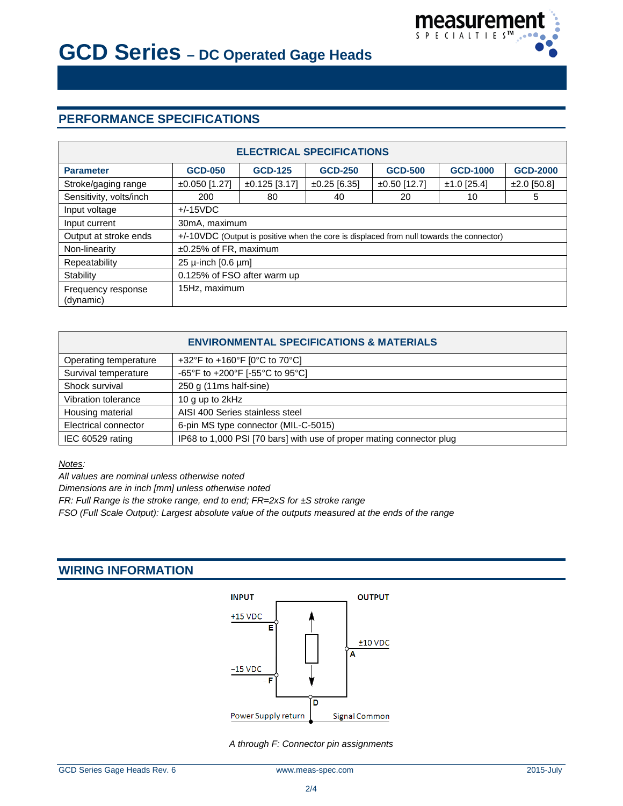

# **PERFORMANCE SPECIFICATIONS**

| <b>ELECTRICAL SPECIFICATIONS</b> |                                                                                          |                    |                   |                |                 |                 |
|----------------------------------|------------------------------------------------------------------------------------------|--------------------|-------------------|----------------|-----------------|-----------------|
| <b>Parameter</b>                 | <b>GCD-050</b>                                                                           | <b>GCD-125</b>     | <b>GCD-250</b>    | <b>GCD-500</b> | <b>GCD-1000</b> | <b>GCD-2000</b> |
| Stroke/gaging range              | $±0.050$ [1.27]                                                                          | $\pm 0.125$ [3.17] | $\pm 0.25$ [6.35] | $±0.50$ [12.7] | $±1.0$ [25.4]   | $±2.0$ [50.8]   |
| Sensitivity, volts/inch          | 200                                                                                      | 80                 | 40                | 20             | 10              | 5               |
| Input voltage                    | $+/-15VDC$                                                                               |                    |                   |                |                 |                 |
| Input current                    | 30mA, maximum                                                                            |                    |                   |                |                 |                 |
| Output at stroke ends            | +/-10VDC (Output is positive when the core is displaced from null towards the connector) |                    |                   |                |                 |                 |
| Non-linearity                    | ±0.25% of FR, maximum                                                                    |                    |                   |                |                 |                 |
| Repeatability                    | 25 $\mu$ -inch [0.6 $\mu$ m]                                                             |                    |                   |                |                 |                 |
| Stability                        | 0.125% of FSO after warm up                                                              |                    |                   |                |                 |                 |
| Frequency response<br>(dynamic)  | 15Hz, maximum                                                                            |                    |                   |                |                 |                 |

| <b>ENVIRONMENTAL SPECIFICATIONS &amp; MATERIALS</b> |                                                                      |  |  |  |
|-----------------------------------------------------|----------------------------------------------------------------------|--|--|--|
| Operating temperature                               | +32°F to +160°F [0°C to 70°C]                                        |  |  |  |
| Survival temperature                                | -65°F to +200°F [-55°C to 95°C]                                      |  |  |  |
| Shock survival                                      | 250 g (11ms half-sine)                                               |  |  |  |
| Vibration tolerance                                 | 10 g up to 2kHz                                                      |  |  |  |
| Housing material                                    | AISI 400 Series stainless steel                                      |  |  |  |
| Electrical connector                                | 6-pin MS type connector (MIL-C-5015)                                 |  |  |  |
| IEC 60529 rating                                    | IP68 to 1,000 PSI [70 bars] with use of proper mating connector plug |  |  |  |

*Notes:*

*All values are nominal unless otherwise noted*

*Dimensions are in inch [mm] unless otherwise noted*

*FR: Full Range is the stroke range, end to end; FR=2xS for ±S stroke range*

*FSO (Full Scale Output): Largest absolute value of the outputs measured at the ends of the range*

#### **WIRING INFORMATION**



*A through F: Connector pin assignments*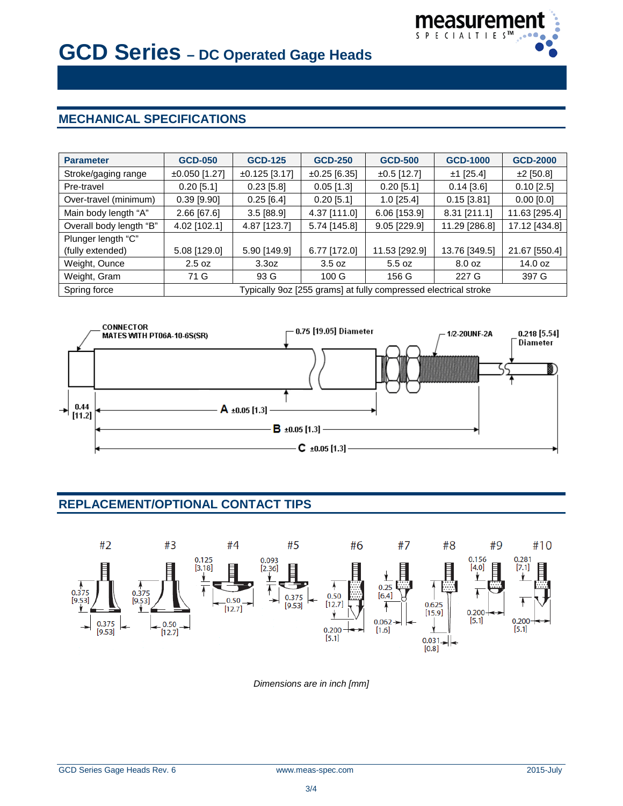

# **MECHANICAL SPECIFICATIONS**

| <b>Parameter</b>        | <b>GCD-050</b>                                                  | <b>GCD-125</b>    | <b>GCD-250</b>    | <b>GCD-500</b> | <b>GCD-1000</b> | <b>GCD-2000</b> |
|-------------------------|-----------------------------------------------------------------|-------------------|-------------------|----------------|-----------------|-----------------|
| Stroke/gaging range     | $±0.050$ [1.27]                                                 | $±0.125$ [3.17]   | $\pm 0.25$ [6.35] | $±0.5$ [12.7]  | $±1$ [25.4]     | $±2$ [50.8]     |
| Pre-travel              | $0.20$ [5.1]                                                    | $0.23$ [5.8]      | $0.05$ [1.3]      | $0.20$ [5.1]   | $0.14$ [3.6]    | $0.10$ [2.5]    |
| Over-travel (minimum)   | $0.39$ [9.90]                                                   | $0.25$ [6.4]      | $0.20$ [5.1]      | $1.0$ [25.4]   | $0.15$ [3.81]   | $0.00$ [0.0]    |
| Main body length "A"    | 2.66 [67.6]                                                     | $3.5$ [88.9]      | 4.37 [111.0]      | 6.06 [153.9]   | 8.31 [211.1]    | 11.63 [295.4]   |
| Overall body length "B" | 4.02 [102.1]                                                    | 4.87 [123.7]      | 5.74 [145.8]      | $9.05$ [229.9] | 11.29 [286.8]   | 17.12 [434.8]   |
| Plunger length "C"      |                                                                 |                   |                   |                |                 |                 |
| (fully extended)        | 5.08 [129.0]                                                    | 5.90 [149.9]      | 6.77 [172.0]      | 11.53 [292.9]  | 13.76 [349.5]   | 21.67 [550.4]   |
| Weight, Ounce           | 2.5 oz                                                          | 3.3 <sub>oz</sub> | 3.5 oz            | 5.5 oz         | 8.0 oz          | 14.0 oz         |
| Weight, Gram            | 71 G                                                            | 93 G              | 100 <sub>G</sub>  | 156 G          | 227 G           | 397 G           |
| Spring force            | Typically 9oz [255 grams] at fully compressed electrical stroke |                   |                   |                |                 |                 |



## **REPLACEMENT/OPTIONAL CONTACT TIPS**



*Dimensions are in inch [mm]*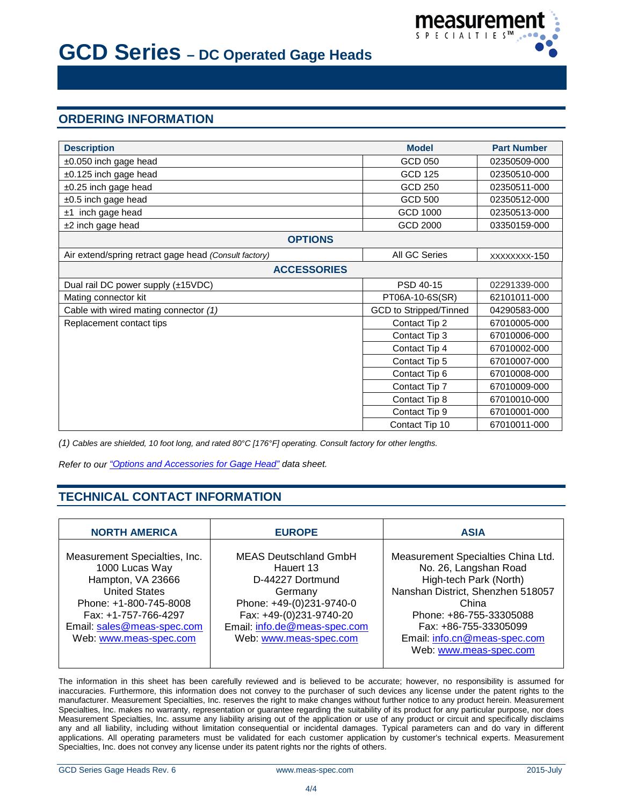

## **ORDERING INFORMATION**

| <b>Description</b>                                    | <b>Model</b>                  | <b>Part Number</b> |  |  |  |
|-------------------------------------------------------|-------------------------------|--------------------|--|--|--|
| $\pm 0.050$ inch gage head                            | GCD 050                       | 02350509-000       |  |  |  |
| ±0.125 inch gage head                                 | <b>GCD 125</b>                | 02350510-000       |  |  |  |
| ±0.25 inch gage head                                  | <b>GCD 250</b>                | 02350511-000       |  |  |  |
| $±0.5$ inch gage head                                 | <b>GCD 500</b>                | 02350512-000       |  |  |  |
| ±1 inch gage head                                     | <b>GCD 1000</b>               | 02350513-000       |  |  |  |
| ±2 inch gage head                                     | <b>GCD 2000</b>               | 03350159-000       |  |  |  |
| <b>OPTIONS</b>                                        |                               |                    |  |  |  |
| Air extend/spring retract gage head (Consult factory) | All GC Series                 | XXXXXXXX-150       |  |  |  |
| <b>ACCESSORIES</b>                                    |                               |                    |  |  |  |
| Dual rail DC power supply (±15VDC)                    | PSD 40-15                     | 02291339-000       |  |  |  |
| Mating connector kit                                  | PT06A-10-6S(SR)               | 62101011-000       |  |  |  |
| Cable with wired mating connector (1)                 | <b>GCD</b> to Stripped/Tinned | 04290583-000       |  |  |  |
| Replacement contact tips                              | Contact Tip 2                 | 67010005-000       |  |  |  |
|                                                       | Contact Tip 3                 | 67010006-000       |  |  |  |
|                                                       | Contact Tip 4                 | 67010002-000       |  |  |  |
|                                                       | Contact Tip 5                 | 67010007-000       |  |  |  |
|                                                       | Contact Tip 6                 | 67010008-000       |  |  |  |
|                                                       | Contact Tip 7                 | 67010009-000       |  |  |  |
|                                                       | Contact Tip 8                 | 67010010-000       |  |  |  |
|                                                       | Contact Tip 9                 | 67010001-000       |  |  |  |
|                                                       | Contact Tip 10                | 67010011-000       |  |  |  |

*(1) Cables are shielded, 10 foot long, and rated 80°C [176°F] operating. Consult factory for other lengths.*

*Refer to our ["Options and Accessories](http://www.meas-spec.com/datasheets.aspx) for Gage Head" data sheet.*

### **TECHNICAL CONTACT INFORMATION**

| <b>NORTH AMERICA</b>                                                                                                                                                                                   | <b>EUROPE</b>                                                                                                                                                                             | <b>ASIA</b>                                                                                                                                                                                                             |
|--------------------------------------------------------------------------------------------------------------------------------------------------------------------------------------------------------|-------------------------------------------------------------------------------------------------------------------------------------------------------------------------------------------|-------------------------------------------------------------------------------------------------------------------------------------------------------------------------------------------------------------------------|
| Measurement Specialties, Inc.<br>1000 Lucas Way<br>Hampton, VA 23666<br><b>United States</b><br>Phone: +1-800-745-8008<br>Fax: +1-757-766-4297<br>Email: sales@meas-spec.com<br>Web: www.meas-spec.com | <b>MEAS Deutschland GmbH</b><br>Hauert 13<br>D-44227 Dortmund<br>Germany<br>Phone: +49-(0)231-9740-0<br>Fax: +49-(0)231-9740-20<br>Email: info.de@meas-spec.com<br>Web: www.meas-spec.com | Measurement Specialties China Ltd.<br>No. 26, Langshan Road<br>High-tech Park (North)<br>Nanshan District, Shenzhen 518057<br>China<br>Phone: +86-755-33305088<br>Fax: +86-755-33305099<br>Email: info.cn@meas-spec.com |
|                                                                                                                                                                                                        |                                                                                                                                                                                           | Web: www.meas-spec.com                                                                                                                                                                                                  |

The information in this sheet has been carefully reviewed and is believed to be accurate; however, no responsibility is assumed for inaccuracies. Furthermore, this information does not convey to the purchaser of such devices any license under the patent rights to the manufacturer. Measurement Specialties, Inc. reserves the right to make changes without further notice to any product herein. Measurement Specialties, Inc. makes no warranty, representation or guarantee regarding the suitability of its product for any particular purpose, nor does Measurement Specialties, Inc. assume any liability arising out of the application or use of any product or circuit and specifically disclaims any and all liability, including without limitation consequential or incidental damages. Typical parameters can and do vary in different applications. All operating parameters must be validated for each customer application by customer's technical experts. Measurement Specialties, Inc. does not convey any license under its patent rights nor the rights of others.